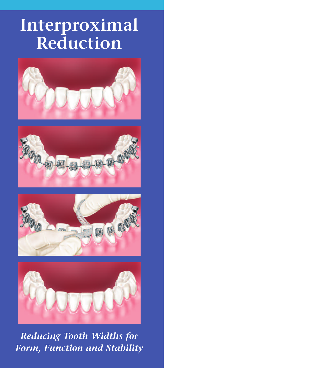# **Interproximal Reduction**









*Reducing Tooth Widths for Form, Function and Stability*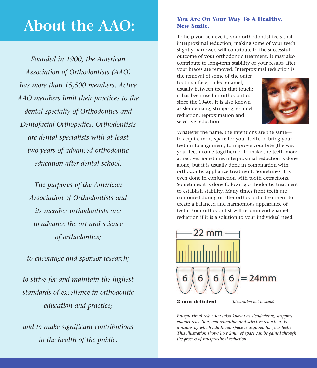### **About the AAO:**

*Founded in 1900, the American Association of Orthodontists (AAO) has more than 15,500 members. Active AAO members limit their practices to the dental specialty of Orthodontics and Dentofacial Orthopedics. Orthodontists are dental specialists with at least two years of advanced orthodontic education after dental school.*

*The purposes of the American Association of Orthodontists and its member orthodontists are: to advance the art and science of orthodontics;*

*to encourage and sponsor research;*

*to strive for and maintain the highest standards of excellence in orthodontic education and practice;*

*and to make significant contributions to the health of the public.*

#### **You Are On Your Way To A Healthy, New Smile.**

To help you achieve it, your orthodontist feels that interproximal reduction, making some of your teeth slightly narrower, will contribute to the successful outcome of your orthodontic treatment. It may also contribute to long-term stability of your results after your braces are removed. Interproximal reduction is

the removal of some of the outer tooth surface, called enamel, usually between teeth that touch; it has been used in orthodontics since the 1940s. It is also known as slenderizing, stripping, enamel reduction, reproximation and selective reduction.



Whatever the name, the intentions are the same to acquire more space for your teeth, to bring your teeth into alignment, to improve your bite (the way your teeth come together) or to make the teeth more attractive. Sometimes interproximal reduction is done alone, but it is usually done in combination with orthodontic appliance treatment. Sometimes it is even done in conjunction with tooth extractions. Sometimes it is done following orthodontic treatment to establish stability. Many times front teeth are contoured during or after orthodontic treatment to create a balanced and harmonious appearance of teeth. Your orthodontist will recommend enamel reduction if it is a solution to your individual need.



*Interproximal reduction (also known as slenderizing, stripping, enamel reduction, reproximation and selective reduction) is a means by which additional space is acquired for your teeth. This illustration shows how 2mm of space can be gained through the process of interproximal reduction.*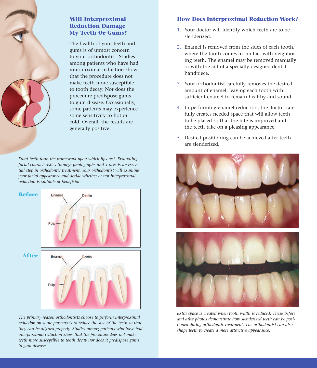

#### **Will Interproximal Reduction Damage My Teeth Or Gums?**

The health of your teeth and gums is of utmost concern to your orthodontist. Studies among patients who have had interproximal reduction show that the procedure does not make teeth more susceptible to tooth decay. Nor does the procedure predispose gums to gum disease. Occasionally, some patients may experience some sensitivity to hot or cold. Overall, the results are generally positive.

*Front teeth form the framework upon which lips rest. Evaluating facial characteristics through photographs and x-rays is an essential step in orthodontic treatment. Your orthodontist will examine your facial appearance and decide whether or not interproximal reduction is suitable or beneficial.*



*The primary reason orthodontists choose to perform interproximal reduction on some patients is to reduce the size of the teeth so that they can be aligned properly. Studies among patients who have had interproximal reduction show that the procedure does not make teeth more susceptible to tooth decay nor does it predispose gums to gum disease.*

#### **How Does Interproximal Reduction Work?**

- 1. Your doctor will identify which teeth are to be slenderized.
- 2. Enamel is removed from the sides of each tooth, where the tooth comes in contact with neighboring teeth. The enamel may be removed manually or with the aid of a specially-designed dental handpiece.
- 3. Your orthodontist carefully removes the desired amount of enamel, leaving each tooth with sufficient enamel to remain healthy and sound.
- 4. In performing enamel reduction, the doctor carefully creates needed space that will allow teeth to be placed so that the bite is improved and the teeth take on a pleasing appearance.
- 5. Desired positioning can be achieved after teeth are slenderized.





*Extra space is created when tooth width is reduced. These before and after photos demonstrate how slenderized teeth can be positioned during orthodontic treatment. The orthodontist can also shape teeth to create a more attractive appearance.*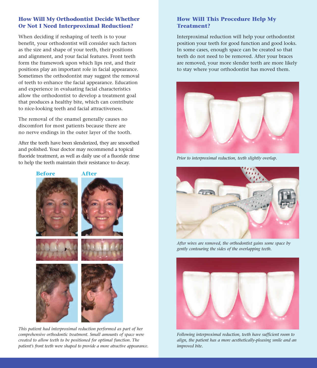#### **How Will My Orthodontist Decide Whether Or Not I Need Interproximal Reduction?**

When deciding if reshaping of teeth is to your benefit, your orthodontist will consider such factors as the size and shape of your teeth, their positions and alignment, and your facial features. Front teeth form the framework upon which lips rest, and their positions play an important role in facial appearance. Sometimes the orthodontist may suggest the removal of teeth to enhance the facial appearance. Education and experience in evaluating facial characteristics allow the orthodontist to develop a treatment goal that produces a healthy bite, which can contribute to nice-looking teeth and facial attractiveness.

The removal of the enamel generally causes no discomfort for most patients because there are no nerve endings in the outer layer of the tooth.

After the teeth have been slenderized, they are smoothed and polished. Your doctor may recommend a topical fluoride treatment, as well as daily use of a fluoride rinse to help the teeth maintain their resistance to decay.<br> *Prior to interproximal reduction, teeth slightly overlap.*<br> **1** *Prior to interproximal reduction, teeth slightly overlap.* 



*This patient had interproximal reduction performed as part of her comprehensive orthodontic treatment. Small amounts of space were created to allow teeth to be positioned for optimal function. The patient's front teeth were shaped to provide a more atractive appearance.*

#### **How Will This Procedure Help My Treatment?**

Interproximal reduction will help your orthodontist position your teeth for good function and good looks. In some cases, enough space can be created so that teeth do not need to be removed. After your braces are removed, your more slender teeth are more likely to stay where your orthodontist has moved them.





*After wires are removed, the orthodontist gains some space by gently contouring the sides of the overlapping teeth.*



*Following interproximal reduction, teeth have sufficient room to align, the patient has a more aesthetically-pleasing smile and an improved bite.*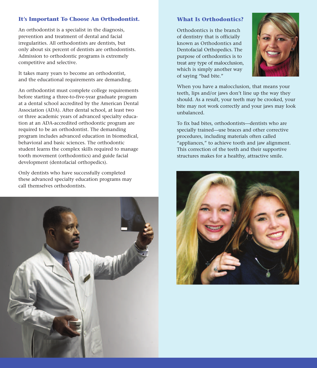#### **It's Important To Choose An Orthodontist.**

An orthodontist is a specialist in the diagnosis, prevention and treatment of dental and facial irregularities. All orthodontists are dentists, but only about six percent of dentists are orthodontists. Admission to orthodontic programs is extremely competitive and selective.

It takes many years to become an orthodontist, and the educational requirements are demanding.

An orthodontist must complete college requirements before starting a three-to-five-year graduate program at a dental school accredited by the American Dental Association (ADA). After dental school, at least two or three academic years of advanced specialty education at an ADA-accredited orthodontic program are required to be an orthodontist. The demanding program includes advanced education in biomedical, behavioral and basic sciences. The orthodontic student learns the complex skills required to manage tooth movement (orthodontics) and guide facial development (dentofacial orthopedics).

Only dentists who have successfully completed these advanced specialty education programs may call themselves orthodontists.



#### **What Is Orthodontics?**

Orthodontics is the branch of dentistry that is officially known as Orthodontics and Dentofacial Orthopedics. The purpose of orthodontics is to treat any type of malocclusion, which is simply another way of saying "bad bite."



When you have a malocclusion, that means your teeth, lips and/or jaws don't line up the way they should. As a result, your teeth may be crooked, your bite may not work correctly and your jaws may look unbalanced.

To fix bad bites, orthodontists—dentists who are specially trained—use braces and other corrective procedures, including materials often called "appliances," to achieve tooth and jaw alignment. This correction of the teeth and their supportive structures makes for a healthy, attractive smile.

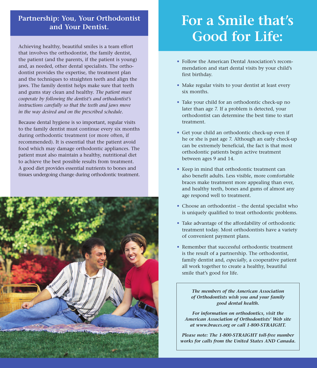### **Partnership: You, Your Orthodontist and Your Dentist.**

Achieving healthy, beautiful smiles is a team effort that involves the orthodontist, the family dentist, the patient (and the parents, if the patient is young) and, as needed, other dental specialists. The orthodontist provides the expertise, the treatment plan and the techniques to straighten teeth and align the jaws. The family dentist helps make sure that teeth and gums stay clean and healthy. *The patient must cooperate by following the dentist's and orthodontist's instructions carefully so that the teeth and jaws move in the way desired and on the prescribed schedule.*

Because dental hygiene is so important, regular visits to the family dentist must continue every six months during orthodontic treatment (or more often, if recommended). It is essential that the patient avoid food which may damage orthodontic appliances. The patient must also maintain a healthy, nutritional diet to achieve the best possible results from treatment. A good diet provides essential nutrients to bones and tissues undergoing change during orthodontic treatment.



## **For a Smile that's Good for Life:**

- Follow the American Dental Association's recommendation and start dental visits by your child's first birthday.
- Make regular visits to your dentist at least every six months.
- Take your child for an orthodontic check-up no later than age 7. If a problem is detected, your orthodontist can determine the best time to start treatment.
- Get your child an orthodontic check-up even if he or she is past age 7. Although an early check-up can be extremely beneficial, the fact is that most orthodontic patients begin active treatment between ages 9 and 14.
- Keep in mind that orthodontic treatment can also benefit adults. Less visible, more comfortable braces make treatment more appealing than ever, and healthy teeth, bones and gums of almost any age respond well to treatment.
- Choose an orthodontist the dental specialist who is uniquely qualified to treat orthodontic problems.
- Take advantage of the affordability of orthodontic treatment today. Most orthodontists have a variety of convenient payment plans.
- Remember that successful orthodontic treatment is the result of a partnership. The orthodontist, family dentist and, *especially*, a cooperative patient all work together to create a healthy, beautiful smile that's good for life.

*The members of the American Association of Orthodontists wish you and your family good dental health.*

*For information on orthodontics, visit the American Association of Orthodontists' Web site at www.braces.org or call 1-800-STRAIGHT.*

*Please note: The 1-800-STRAIGHT toll-free number works for calls from the United States AND Canada.*